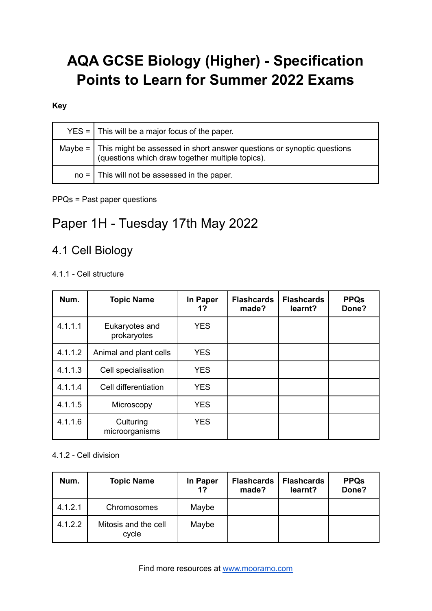# **AQA GCSE Biology (Higher) - Specification Points to Learn for Summer 2022 Exams**

#### **Key**

| $YES =$ This will be a major focus of the paper.                                                                                        |
|-----------------------------------------------------------------------------------------------------------------------------------------|
| Maybe = $\vert$ This might be assessed in short answer questions or synoptic questions (questions which draw together multiple topics). |
| $no =$ This will not be assessed in the paper.                                                                                          |

#### PPQs = Past paper questions

# Paper 1H - Tuesday 17th May 2022

# 4.1 Cell Biology

# 4.1.1 - Cell structure

| Num.    | <b>Topic Name</b>             | In Paper<br>1? | <b>Flashcards</b><br>made? | <b>Flashcards</b><br>learnt? | <b>PPQs</b><br>Done? |
|---------|-------------------------------|----------------|----------------------------|------------------------------|----------------------|
| 4.1.1.1 | Eukaryotes and<br>prokaryotes | <b>YES</b>     |                            |                              |                      |
| 4.1.1.2 | Animal and plant cells        | <b>YES</b>     |                            |                              |                      |
| 4.1.1.3 | Cell specialisation           | <b>YES</b>     |                            |                              |                      |
| 4.1.1.4 | Cell differentiation          | <b>YES</b>     |                            |                              |                      |
| 4.1.1.5 | Microscopy                    | <b>YES</b>     |                            |                              |                      |
| 4.1.1.6 | Culturing<br>microorganisms   | <b>YES</b>     |                            |                              |                      |

#### 4.1.2 - Cell division

| Num.    | <b>Topic Name</b>             | In Paper<br>1? | <b>Flashcards</b><br>made? | <b>Flashcards</b><br>learnt? | <b>PPQs</b><br>Done? |
|---------|-------------------------------|----------------|----------------------------|------------------------------|----------------------|
| 4.1.2.1 | Chromosomes                   | Maybe          |                            |                              |                      |
| 4.1.2.2 | Mitosis and the cell<br>cycle | Maybe          |                            |                              |                      |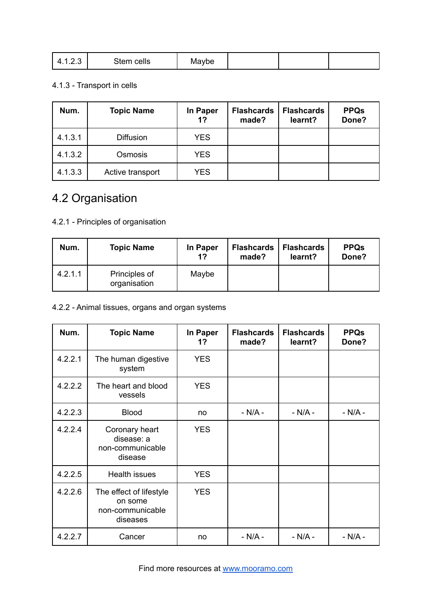| $\sim$ $\sim$<br>Stem cells<br>Mavbe<br>$\sqrt{ }$<br>ن ے. ا |
|--------------------------------------------------------------|
|--------------------------------------------------------------|

# 4.1.3 - Transport in cells

| Num.    | <b>Topic Name</b> | In Paper<br>1? | <b>Flashcards</b><br>made? | <b>Flashcards</b><br>learnt? | <b>PPQs</b><br>Done? |
|---------|-------------------|----------------|----------------------------|------------------------------|----------------------|
| 4.1.3.1 | <b>Diffusion</b>  | <b>YES</b>     |                            |                              |                      |
| 4.1.3.2 | Osmosis           | <b>YES</b>     |                            |                              |                      |
| 4.1.3.3 | Active transport  | <b>YES</b>     |                            |                              |                      |

# 4.2 Organisation

# 4.2.1 - Principles of organisation

| Num.    | <b>Topic Name</b>             | In Paper<br>1? | <b>Flashcards</b><br>made? | <b>Flashcards</b><br>learnt? | <b>PPQs</b><br>Done? |
|---------|-------------------------------|----------------|----------------------------|------------------------------|----------------------|
| 4.2.1.1 | Principles of<br>organisation | Maybe          |                            |                              |                      |

# 4.2.2 - Animal tissues, organs and organ systems

| Num.    | <b>Topic Name</b>                                                  | In Paper<br>1? | <b>Flashcards</b><br>made? | <b>Flashcards</b><br>learnt? | <b>PPQs</b><br>Done? |
|---------|--------------------------------------------------------------------|----------------|----------------------------|------------------------------|----------------------|
| 4.2.2.1 | The human digestive<br>system                                      | <b>YES</b>     |                            |                              |                      |
| 4.2.2.2 | The heart and blood<br>vessels                                     | <b>YES</b>     |                            |                              |                      |
| 4.2.2.3 | <b>Blood</b>                                                       | no             | $- N/A -$                  | $- N/A -$                    | $- N/A -$            |
| 4.2.2.4 | Coronary heart<br>disease: a<br>non-communicable<br>disease        | <b>YES</b>     |                            |                              |                      |
| 4.2.2.5 | <b>Health issues</b>                                               | <b>YES</b>     |                            |                              |                      |
| 4.2.2.6 | The effect of lifestyle<br>on some<br>non-communicable<br>diseases | <b>YES</b>     |                            |                              |                      |
| 4.2.2.7 | Cancer                                                             | no             | $- N/A -$                  | $- N/A -$                    | $- N/A -$            |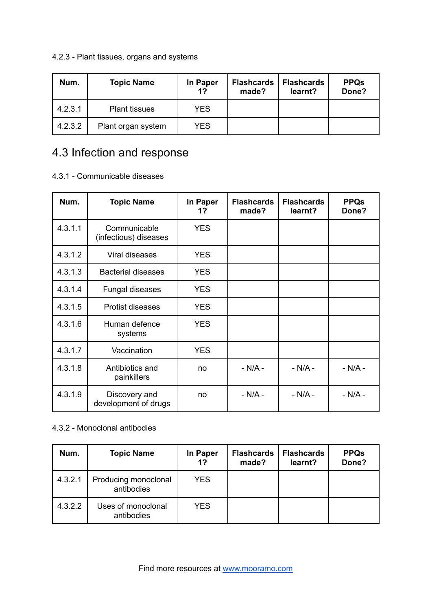# 4.2.3 - Plant tissues, organs and systems

| Num.    | <b>Topic Name</b>    | In Paper<br>1? | <b>Flashcards</b><br>made? | <b>Flashcards</b><br>learnt? | <b>PPQs</b><br>Done? |
|---------|----------------------|----------------|----------------------------|------------------------------|----------------------|
| 4.2.3.1 | <b>Plant tissues</b> | <b>YES</b>     |                            |                              |                      |
| 4.2.3.2 | Plant organ system   | <b>YES</b>     |                            |                              |                      |

# 4.3 Infection and response

#### 4.3.1 - Communicable diseases

| Num.    | <b>Topic Name</b>                     | In Paper<br>1? | <b>Flashcards</b><br>made? | <b>Flashcards</b><br>learnt? | <b>PPQs</b><br>Done? |
|---------|---------------------------------------|----------------|----------------------------|------------------------------|----------------------|
| 4.3.1.1 | Communicable<br>(infectious) diseases | <b>YES</b>     |                            |                              |                      |
| 4.3.1.2 | Viral diseases                        | <b>YES</b>     |                            |                              |                      |
| 4.3.1.3 | <b>Bacterial diseases</b>             | <b>YES</b>     |                            |                              |                      |
| 4.3.1.4 | Fungal diseases                       | <b>YES</b>     |                            |                              |                      |
| 4.3.1.5 | <b>Protist diseases</b>               | <b>YES</b>     |                            |                              |                      |
| 4.3.1.6 | Human defence<br>systems              | <b>YES</b>     |                            |                              |                      |
| 4.3.1.7 | Vaccination                           | <b>YES</b>     |                            |                              |                      |
| 4.3.1.8 | Antibiotics and<br>painkillers        | no             | $-N/A -$                   | $- N/A -$                    | $- N/A -$            |
| 4.3.1.9 | Discovery and<br>development of drugs | no             | $- N/A -$                  | $- N/A -$                    | $- N/A -$            |

### 4.3.2 - Monoclonal antibodies

| Num.    | <b>Topic Name</b>                  | In Paper<br>1? | <b>Flashcards</b><br>made? | <b>Flashcards</b><br>learnt? | <b>PPQs</b><br>Done? |
|---------|------------------------------------|----------------|----------------------------|------------------------------|----------------------|
| 4.3.2.1 | Producing monoclonal<br>antibodies | <b>YES</b>     |                            |                              |                      |
| 4.3.2.2 | Uses of monoclonal<br>antibodies   | <b>YES</b>     |                            |                              |                      |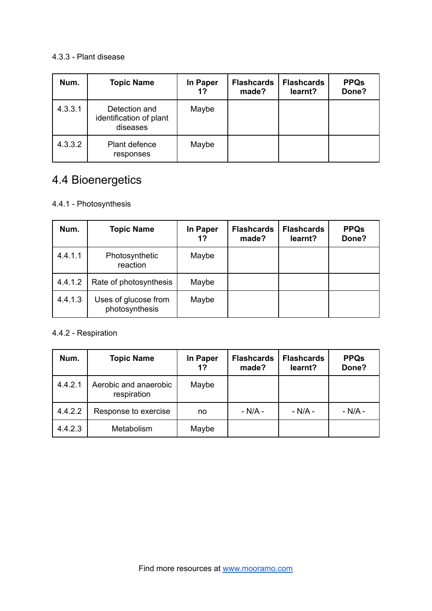#### 4.3.3 - Plant disease

| Num.    | <b>Topic Name</b>                                    | In Paper<br>1? | <b>Flashcards</b><br>made? | <b>Flashcards</b><br>learnt? | <b>PPQs</b><br>Done? |
|---------|------------------------------------------------------|----------------|----------------------------|------------------------------|----------------------|
| 4.3.3.1 | Detection and<br>identification of plant<br>diseases | Maybe          |                            |                              |                      |
| 4.3.3.2 | Plant defence<br>responses                           | Maybe          |                            |                              |                      |

# 4.4 Bioenergetics

# 4.4.1 - Photosynthesis

| Num.    | <b>Topic Name</b>                      | In Paper<br>1? | <b>Flashcards</b><br>made? | <b>Flashcards</b><br>learnt? | <b>PPQs</b><br>Done? |
|---------|----------------------------------------|----------------|----------------------------|------------------------------|----------------------|
| 4.4.1.1 | Photosynthetic<br>reaction             | Maybe          |                            |                              |                      |
| 4.4.1.2 | Rate of photosynthesis                 | Maybe          |                            |                              |                      |
| 4.4.1.3 | Uses of glucose from<br>photosynthesis | Maybe          |                            |                              |                      |

#### 4.4.2 - Respiration

| Num.    | <b>Topic Name</b>                    | In Paper<br>1? | <b>Flashcards</b><br>made? | <b>Flashcards</b><br>learnt? | <b>PPQs</b><br>Done? |
|---------|--------------------------------------|----------------|----------------------------|------------------------------|----------------------|
| 4.4.2.1 | Aerobic and anaerobic<br>respiration | Maybe          |                            |                              |                      |
| 4.4.2.2 | Response to exercise                 | no             | $- N/A -$                  | $- N/A -$                    | $- N/A -$            |
| 4.4.2.3 | Metabolism                           | Maybe          |                            |                              |                      |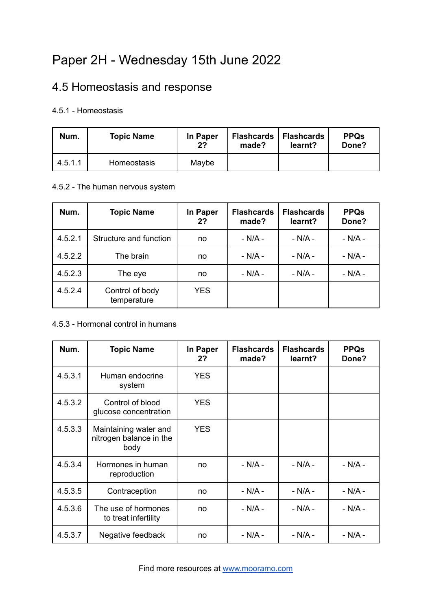# Paper 2H - Wednesday 15th June 2022

# 4.5 Homeostasis and response

### 4.5.1 - Homeostasis

| Num.    | <b>Topic Name</b>  | In Paper<br>2? | <b>Flashcards</b><br>made? | <b>Flashcards</b><br>learnt? | <b>PPQs</b><br>Done? |
|---------|--------------------|----------------|----------------------------|------------------------------|----------------------|
| 4.5.1.1 | <b>Homeostasis</b> | Maybe          |                            |                              |                      |

#### 4.5.2 - The human nervous system

| Num.    | <b>Topic Name</b>              | In Paper<br>2? | <b>Flashcards</b><br>made? | <b>Flashcards</b><br>learnt? | <b>PPQs</b><br>Done? |
|---------|--------------------------------|----------------|----------------------------|------------------------------|----------------------|
| 4.5.2.1 | Structure and function         | no             | $- N/A -$                  | $- N/A -$                    | $- N/A -$            |
| 4.5.2.2 | The brain                      | no             | $- N/A -$                  | $- N/A -$                    | $- N/A -$            |
| 4.5.2.3 | The eye                        | no             | $- N/A -$                  | $- N/A -$                    | $- N/A -$            |
| 4.5.2.4 | Control of body<br>temperature | <b>YES</b>     |                            |                              |                      |

#### 4.5.3 - Hormonal control in humans

| Num.    | <b>Topic Name</b>                                        | In Paper<br>2? | <b>Flashcards</b><br>made? | <b>Flashcards</b><br>learnt? | <b>PPQs</b><br>Done? |
|---------|----------------------------------------------------------|----------------|----------------------------|------------------------------|----------------------|
| 4.5.3.1 | Human endocrine<br>system                                | <b>YES</b>     |                            |                              |                      |
| 4.5.3.2 | Control of blood<br>glucose concentration                | <b>YES</b>     |                            |                              |                      |
| 4.5.3.3 | Maintaining water and<br>nitrogen balance in the<br>body | <b>YES</b>     |                            |                              |                      |
| 4.5.3.4 | Hormones in human<br>reproduction                        | no             | $- N/A -$                  | $- N/A -$                    | $- N/A -$            |
| 4.5.3.5 | Contraception                                            | no             | $- N/A -$                  | $-N/A -$                     | $- N/A -$            |
| 4.5.3.6 | The use of hormones<br>to treat infertility              | no             | $- N/A -$                  | $- N/A -$                    | $- N/A -$            |
| 4.5.3.7 | Negative feedback                                        | no             | $- N/A -$                  | $- N/A -$                    | $- N/A -$            |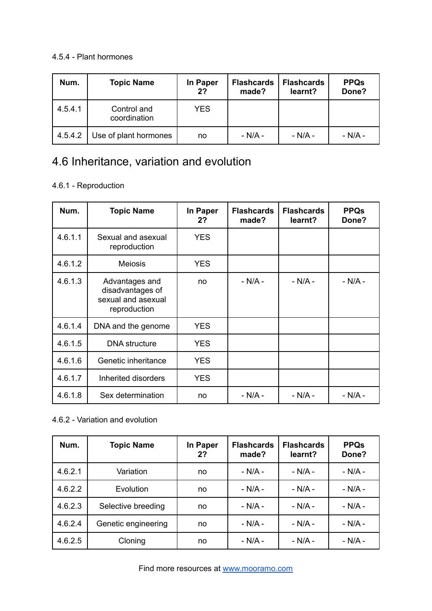#### 4.5.4 - Plant hormones

| Num.    | <b>Topic Name</b>           | In Paper<br>2? | <b>Flashcards</b><br>made? | <b>Flashcards</b><br>learnt? | <b>PPQs</b><br>Done? |
|---------|-----------------------------|----------------|----------------------------|------------------------------|----------------------|
| 4.5.4.1 | Control and<br>coordination | <b>YES</b>     |                            |                              |                      |
| 4.5.4.2 | Use of plant hormones       | no             | - N/A -                    | $- N/A -$                    | - N/A -              |

# 4.6 Inheritance, variation and evolution

# 4.6.1 - Reproduction

| Num.    | <b>Topic Name</b>                                                        | In Paper<br>2? | <b>Flashcards</b><br>made? | <b>Flashcards</b><br>learnt? | <b>PPQs</b><br>Done? |
|---------|--------------------------------------------------------------------------|----------------|----------------------------|------------------------------|----------------------|
| 4.6.1.1 | Sexual and asexual<br>reproduction                                       | <b>YES</b>     |                            |                              |                      |
| 4.6.1.2 | <b>Meiosis</b>                                                           | <b>YES</b>     |                            |                              |                      |
| 4.6.1.3 | Advantages and<br>disadvantages of<br>sexual and asexual<br>reproduction | no             | $- N/A -$                  | - N/A -                      | - N/A -              |
| 4.6.1.4 | DNA and the genome                                                       | <b>YES</b>     |                            |                              |                      |
| 4.6.1.5 | <b>DNA</b> structure                                                     | <b>YES</b>     |                            |                              |                      |
| 4.6.1.6 | Genetic inheritance                                                      | <b>YES</b>     |                            |                              |                      |
| 4.6.1.7 | Inherited disorders                                                      | <b>YES</b>     |                            |                              |                      |
| 4.6.1.8 | Sex determination                                                        | no             | $- N/A -$                  | $- N/A -$                    | $- N/A -$            |

### 4.6.2 - Variation and evolution

| Num.    | <b>Topic Name</b>   | In Paper<br>2? | <b>Flashcards</b><br>made? | <b>Flashcards</b><br>learnt? | <b>PPQs</b><br>Done? |
|---------|---------------------|----------------|----------------------------|------------------------------|----------------------|
| 4.6.2.1 | Variation           | no             | $- N/A -$                  | $- N/A -$                    | $- N/A -$            |
| 4.6.2.2 | Evolution           | no             | $- N/A -$                  | $- N/A -$                    | $- N/A -$            |
| 4.6.2.3 | Selective breeding  | no             | $- N/A -$                  | $- N/A -$                    | $- N/A -$            |
| 4.6.2.4 | Genetic engineering | no             | $- N/A -$                  | $- N/A -$                    | $- N/A -$            |
| 4.6.2.5 | Cloning             | no             | $- N/A -$                  | $- N/A -$                    | $- N/A -$            |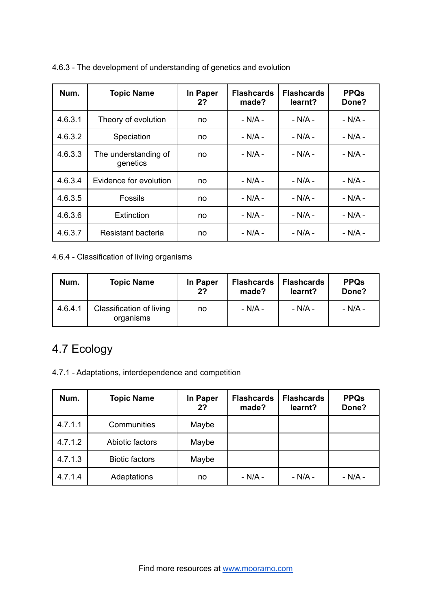| Num.    | <b>Topic Name</b>                | In Paper<br>2? | <b>Flashcards</b><br>made? | <b>Flashcards</b><br>learnt? | <b>PPQs</b><br>Done? |
|---------|----------------------------------|----------------|----------------------------|------------------------------|----------------------|
| 4.6.3.1 | Theory of evolution              | no             | $- N/A -$                  | $- N/A -$                    | $- N/A -$            |
| 4.6.3.2 | Speciation                       | no             | $- N/A -$                  | $- N/A -$                    | $- N/A -$            |
| 4.6.3.3 | The understanding of<br>genetics | no             | $- N/A -$                  | $- N/A -$                    | $- N/A -$            |
| 4.6.3.4 | Evidence for evolution           | no             | $- N/A -$                  | $- N/A -$                    | $- N/A -$            |
| 4.6.3.5 | Fossils                          | no             | $- N/A -$                  | $- N/A -$                    | $- N/A -$            |
| 4.6.3.6 | Extinction                       | no             | $- N/A -$                  | $- N/A -$                    | $- N/A -$            |
| 4.6.3.7 | Resistant bacteria               | no             | $- N/A -$                  | $- N/A -$                    | $- N/A -$            |

4.6.3 - The development of understanding of genetics and evolution

4.6.4 - Classification of living organisms

| Num.    | <b>Topic Name</b>                     | In Paper<br>2? | <b>Flashcards</b><br>made? | <b>Flashcards</b><br>learnt? | <b>PPQs</b><br>Done? |
|---------|---------------------------------------|----------------|----------------------------|------------------------------|----------------------|
| 4.6.4.1 | Classification of living<br>organisms | no             | - N/A -                    | - N/A -                      | - N/A -              |

# 4.7 Ecology

4.7.1 - Adaptations, interdependence and competition

| Num.    | <b>Topic Name</b>     | In Paper<br>2? | <b>Flashcards</b><br>made? | <b>Flashcards</b><br>learnt? | <b>PPQs</b><br>Done? |
|---------|-----------------------|----------------|----------------------------|------------------------------|----------------------|
| 4.7.1.1 | Communities           | Maybe          |                            |                              |                      |
| 4.7.1.2 | Abiotic factors       | Maybe          |                            |                              |                      |
| 4.7.1.3 | <b>Biotic factors</b> | Maybe          |                            |                              |                      |
| 4.7.1.4 | Adaptations           | no             | $- N/A -$                  | $- N/A -$                    | $- N/A -$            |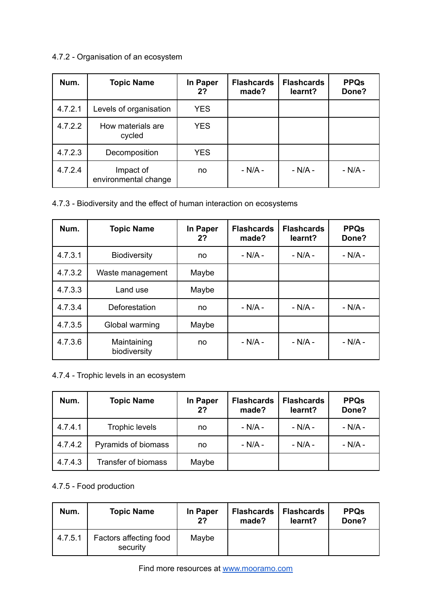# 4.7.2 - Organisation of an ecosystem

| Num.    | <b>Topic Name</b>                 | In Paper<br>2? | <b>Flashcards</b><br>made? | <b>Flashcards</b><br>learnt? | <b>PPQs</b><br>Done? |
|---------|-----------------------------------|----------------|----------------------------|------------------------------|----------------------|
| 4.7.2.1 | Levels of organisation            | <b>YES</b>     |                            |                              |                      |
| 4.7.2.2 | How materials are<br>cycled       | <b>YES</b>     |                            |                              |                      |
| 4.7.2.3 | Decomposition                     | <b>YES</b>     |                            |                              |                      |
| 4.7.2.4 | Impact of<br>environmental change | no             | $- N/A -$                  | $- N/A -$                    | - N/A -              |

#### 4.7.3 - Biodiversity and the effect of human interaction on ecosystems

| Num.    | <b>Topic Name</b>           | In Paper<br>2? | <b>Flashcards</b><br>made? | <b>Flashcards</b><br>learnt? | <b>PPQs</b><br>Done? |
|---------|-----------------------------|----------------|----------------------------|------------------------------|----------------------|
| 4.7.3.1 | <b>Biodiversity</b>         | no             | $- N/A -$                  | $- N/A -$                    | $- N/A -$            |
| 4.7.3.2 | Waste management            | Maybe          |                            |                              |                      |
| 4.7.3.3 | Land use                    | Maybe          |                            |                              |                      |
| 4.7.3.4 | Deforestation               | no             | $- N/A -$                  | $- N/A -$                    | $- N/A -$            |
| 4.7.3.5 | Global warming              | Maybe          |                            |                              |                      |
| 4.7.3.6 | Maintaining<br>biodiversity | no             | - N/A -                    | $- N/A -$                    | $- N/A -$            |

# 4.7.4 - Trophic levels in an ecosystem

| Num.    | <b>Topic Name</b>     | In Paper<br>2? | <b>Flashcards</b><br>made? | <b>Flashcards</b><br>learnt? | <b>PPQs</b><br>Done? |
|---------|-----------------------|----------------|----------------------------|------------------------------|----------------------|
| 4.7.4.1 | <b>Trophic levels</b> | no             | $- N/A -$                  | $- N/A -$                    | $- N/A -$            |
| 4.7.4.2 | Pyramids of biomass   | no             | $- N/A -$                  | $- N/A -$                    | $- N/A -$            |
| 4.7.4.3 | Transfer of biomass   | Maybe          |                            |                              |                      |

# 4.7.5 - Food production

| Num.    | <b>Topic Name</b>                  | In Paper<br>2? | <b>Flashcards</b><br>made? | <b>Flashcards</b><br>learnt? | <b>PPQs</b><br>Done? |
|---------|------------------------------------|----------------|----------------------------|------------------------------|----------------------|
| 4.7.5.1 | Factors affecting food<br>security | Maybe          |                            |                              |                      |